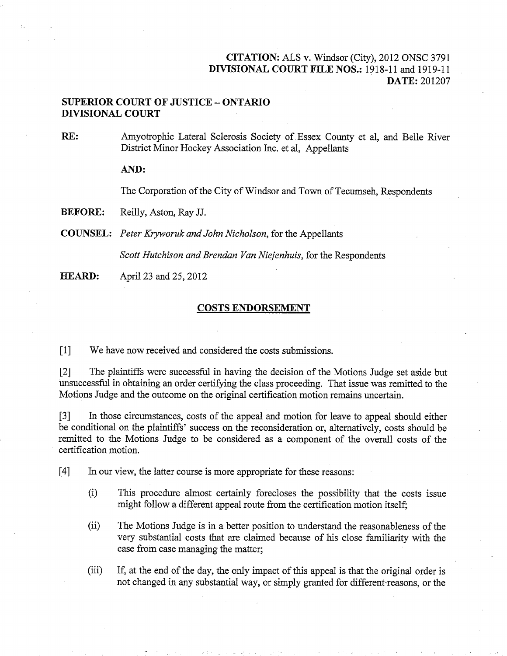## $CITATION.$  ALS v. Windsor  $C<sup>1</sup>$   $\rightarrow$  2012 ONSC 2701 CHAHON: ALS V. WINGSOT (CITY), 2012 UNSC 3791 DIVISIONAL COURT FILE NOS.: 1918-11 and 1919-11<br>DATE: 201207

## SUPERIOR COURT OF JUSTICE ONTARIO DUFERIUR CUURT U<br>DIVECONAL COUDE

 $RE:$ Amyotrophic Lateral Sclerosis Society of Essex County et al, and Belle River District Minor Hockey Association Inc. et al, Appellants

AND:

The Corporation of the City of Windsor and Town of Tecumseh, Respondents

BEFORE: Reilly, Aston, Ray JJ.

 $\overline{C}$ 

Scott Hutchison and Brendan Van Niejenhuis, for the Respondents

**HEARD:** April 23 and 25, 2012

## COSTS ENDORSEMENT

[1] We have now received and considered the costs submissions.

[2] The plaintiffs were successful in having the decision of the Motions Judge set aside but unsuccessful in obtaining an order certifying the class proceeding. That issue was remitted to the Motions Judge and the outcome on the original certification motion remains uncertain.

[3] In those circumstances, costs of the appeal and motion for leave to appeal should either be conditional on the plaintiffs' success on the reconsideration or, alternatively, costs should be remitted to the Motions Judge to be considered as a component of the overall costs of the certification motion.

[4] In our view, the latter course is more appropriate for these reasons:

- (i) This procedure almost certainly forecloses the possibility that the costs issue might follow a different appeal route from the certification motion itself;
- (ii) The Motions Judge is in a better position to understand the reasonableness of the very substantial costs that are claimed because of his close familiarity with the case from case managing the matter;
- (iii) If, at the end of the day, the only impact of this appeal is that the original order is not changed in any substantial way, or simply granted for different-reasons, or the